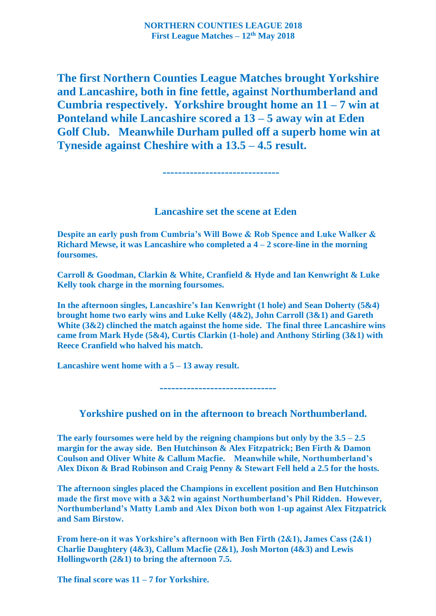**The first Northern Counties League Matches brought Yorkshire and Lancashire, both in fine fettle, against Northumberland and Cumbria respectively. Yorkshire brought home an 11 – 7 win at Ponteland while Lancashire scored a 13 – 5 away win at Eden Golf Club. Meanwhile Durham pulled off a superb home win at Tyneside against Cheshire with a 13.5 – 4.5 result.** 

**------------------------------**

## **Lancashire set the scene at Eden**

**Despite an early push from Cumbria's Will Bowe & Rob Spence and Luke Walker & Richard Mewse, it was Lancashire who completed a 4 – 2 score-line in the morning foursomes.**

**Carroll & Goodman, Clarkin & White, Cranfield & Hyde and Ian Kenwright & Luke Kelly took charge in the morning foursomes.** 

**In the afternoon singles, Lancashire's Ian Kenwright (1 hole) and Sean Doherty (5&4) brought home two early wins and Luke Kelly (4&2), John Carroll (3&1) and Gareth White (3&2) clinched the match against the home side. The final three Lancashire wins came from Mark Hyde (5&4), Curtis Clarkin (1-hole) and Anthony Stirling (3&1) with Reece Cranfield who halved his match.** 

**Lancashire went home with a 5 – 13 away result.**

 **------------------------------**

**Yorkshire pushed on in the afternoon to breach Northumberland.** 

**The early foursomes were held by the reigning champions but only by the 3.5 – 2.5 margin for the away side. Ben Hutchinson & Alex Fitzpatrick; Ben Firth & Damon Coulson and Oliver White & Callum Macfie. Meanwhile while, Northumberland's Alex Dixon & Brad Robinson and Craig Penny & Stewart Fell held a 2.5 for the hosts.** 

**The afternoon singles placed the Champions in excellent position and Ben Hutchinson made the first move with a 3&2 win against Northumberland's Phil Ridden. However, Northumberland's Matty Lamb and Alex Dixon both won 1-up against Alex Fitzpatrick and Sam Birstow.**

**From here-on it was Yorkshire's afternoon with Ben Firth (2&1), James Cass (2&1) Charlie Daughtery (4&3), Callum Macfie (2&1), Josh Morton (4&3) and Lewis Hollingworth (2&1) to bring the afternoon 7.5.**

**The final score was 11 – 7 for Yorkshire.**